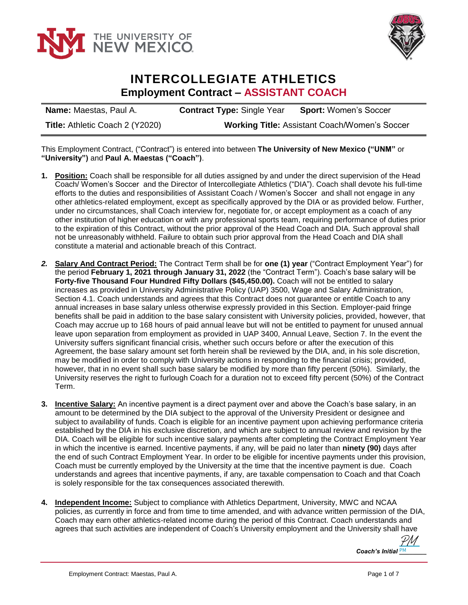



## **INTERCOLLEGIATE ATHLETICS Employment Contract – ASSISTANT COACH**

**Name:** Maestas, Paul A. **Contract Type:** Single Year **Sport:** Women's Soccer **Title:** Athletic Coach 2 (Y2020) **Working Title:** Assistant Coach/Women's Soccer

This Employment Contract, ("Contract") is entered into between **The University of New Mexico ("UNM"** or **"University")** and **Paul A. Maestas ("Coach")**.

- **1. Position:** Coach shall be responsible for all duties assigned by and under the direct supervision of the Head Coach/ Women's Soccer and the Director of Intercollegiate Athletics ("DIA"). Coach shall devote his full-time efforts to the duties and responsibilities of Assistant Coach / Women's Soccer and shall not engage in any other athletics-related employment, except as specifically approved by the DIA or as provided below. Further, under no circumstances, shall Coach interview for, negotiate for, or accept employment as a coach of any other institution of higher education or with any professional sports team, requiring performance of duties prior to the expiration of this Contract, without the prior approval of the Head Coach and DIA. Such approval shall not be unreasonably withheld. Failure to obtain such prior approval from the Head Coach and DIA shall constitute a material and actionable breach of this Contract.
- *2.* **Salary And Contract Period:** The Contract Term shall be for **one (1) year** ("Contract Employment Year") for the period **February 1, 2021 through January 31, 2022** (the "Contract Term"). Coach's base salary will be **Forty-five Thousand Four Hundred Fifty Dollars (\$45,450.00).** Coach will not be entitled to salary increases as provided in University Administrative Policy (UAP) 3500, Wage and Salary Administration, Section 4.1. Coach understands and agrees that this Contract does not guarantee or entitle Coach to any annual increases in base salary unless otherwise expressly provided in this Section. Employer-paid fringe benefits shall be paid in addition to the base salary consistent with University policies, provided, however, that Coach may accrue up to 168 hours of paid annual leave but will not be entitled to payment for unused annual leave upon separation from employment as provided in UAP 3400, Annual Leave, Section 7. In the event the University suffers significant financial crisis, whether such occurs before or after the execution of this Agreement, the base salary amount set forth herein shall be reviewed by the DIA, and, in his sole discretion, may be modified in order to comply with University actions in responding to the financial crisis; provided, however, that in no event shall such base salary be modified by more than fifty percent (50%). Similarly, the University reserves the right to furlough Coach for a duration not to exceed fifty percent (50%) of the Contract Term.
- **3. Incentive Salary:** An incentive payment is a direct payment over and above the Coach's base salary, in an amount to be determined by the DIA subject to the approval of the University President or designee and subject to availability of funds. Coach is eligible for an incentive payment upon achieving performance criteria established by the DIA in his exclusive discretion, and which are subject to annual review and revision by the DIA. Coach will be eligible for such incentive salary payments after completing the Contract Employment Year in which the incentive is earned. Incentive payments, if any, will be paid no later than **ninety (90)** days after the end of such Contract Employment Year. In order to be eligible for incentive payments under this provision, Coach must be currently employed by the University at the time that the incentive payment is due. Coach understands and agrees that incentive payments, if any, are taxable compensation to Coach and that Coach is solely responsible for the tax consequences associated therewith.
- **4. Independent Income:** Subject to compliance with Athletics Department, University, MWC and NCAA policies, as currently in force and from time to time amended, and with advance written permission of the DIA, Coach may earn other athletics-related income during the period of this Contract. Coach understands and agrees that such activities are independent of Coach's University employment and the University shall have

*Coach's Initial* **PM** [PM](https://secure.na2.echosign.com/verifier?tx=CBJCHBCAABAAw-BiZy57tHnj5LJB6WLAVlDsnbgsjBnK)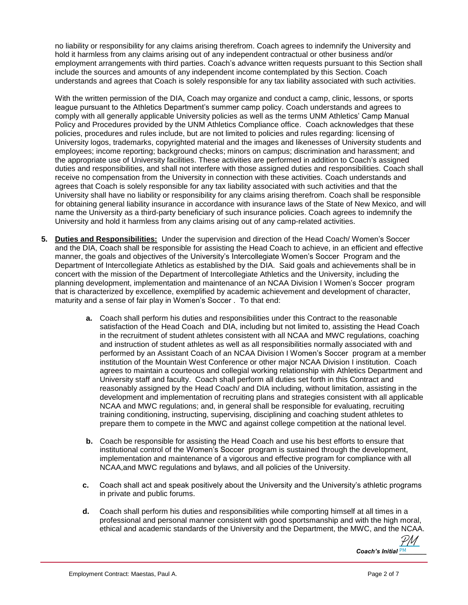no liability or responsibility for any claims arising therefrom. Coach agrees to indemnify the University and hold it harmless from any claims arising out of any independent contractual or other business and/or employment arrangements with third parties. Coach's advance written requests pursuant to this Section shall include the sources and amounts of any independent income contemplated by this Section. Coach understands and agrees that Coach is solely responsible for any tax liability associated with such activities.

With the written permission of the DIA, Coach may organize and conduct a camp, clinic, lessons, or sports league pursuant to the Athletics Department's summer camp policy. Coach understands and agrees to comply with all generally applicable University policies as well as the terms UNM Athletics' Camp Manual Policy and Procedures provided by the UNM Athletics Compliance office. Coach acknowledges that these policies, procedures and rules include, but are not limited to policies and rules regarding: licensing of University logos, trademarks, copyrighted material and the images and likenesses of University students and employees; income reporting; background checks; minors on campus; discrimination and harassment; and the appropriate use of University facilities. These activities are performed in addition to Coach's assigned duties and responsibilities, and shall not interfere with those assigned duties and responsibilities. Coach shall receive no compensation from the University in connection with these activities. Coach understands and agrees that Coach is solely responsible for any tax liability associated with such activities and that the University shall have no liability or responsibility for any claims arising therefrom. Coach shall be responsible for obtaining general liability insurance in accordance with insurance laws of the State of New Mexico, and will name the University as a third-party beneficiary of such insurance policies. Coach agrees to indemnify the University and hold it harmless from any claims arising out of any camp-related activities.

- **5. Duties and Responsibilities:** Under the supervision and direction of the Head Coach/ Women's Soccer and the DIA, Coach shall be responsible for assisting the Head Coach to achieve, in an efficient and effective manner, the goals and objectives of the University's Intercollegiate Women's Soccer Program and the Department of Intercollegiate Athletics as established by the DIA. Said goals and achievements shall be in concert with the mission of the Department of Intercollegiate Athletics and the University, including the planning development, implementation and maintenance of an NCAA Division I Women's Soccer program that is characterized by excellence, exemplified by academic achievement and development of character, maturity and a sense of fair play in Women's Soccer . To that end:
	- **a.** Coach shall perform his duties and responsibilities under this Contract to the reasonable satisfaction of the Head Coach and DIA, including but not limited to, assisting the Head Coach in the recruitment of student athletes consistent with all NCAA and MWC regulations, coaching and instruction of student athletes as well as all responsibilities normally associated with and performed by an Assistant Coach of an NCAA Division I Women's Soccer program at a member institution of the Mountain West Conference or other major NCAA Division I institution. Coach agrees to maintain a courteous and collegial working relationship with Athletics Department and University staff and faculty. Coach shall perform all duties set forth in this Contract and reasonably assigned by the Head Coach/ and DIA including, without limitation, assisting in the development and implementation of recruiting plans and strategies consistent with all applicable NCAA and MWC regulations; and, in general shall be responsible for evaluating, recruiting training conditioning, instructing, supervising, disciplining and coaching student athletes to prepare them to compete in the MWC and against college competition at the national level.
	- **b.** Coach be responsible for assisting the Head Coach and use his best efforts to ensure that institutional control of the Women's Soccer program is sustained through the development, implementation and maintenance of a vigorous and effective program for compliance with all NCAA,and MWC regulations and bylaws, and all policies of the University.
	- **c.** Coach shall act and speak positively about the University and the University's athletic programs in private and public forums.
	- **d.** Coach shall perform his duties and responsibilities while comporting himself at all times in a professional and personal manner consistent with good sportsmanship and with the high moral, ethical and academic standards of the University and the Department, the MWC, and the NCAA.

*Coach's Initial* **PM** [PM](https://secure.na2.echosign.com/verifier?tx=CBJCHBCAABAAw-BiZy57tHnj5LJB6WLAVlDsnbgsjBnK)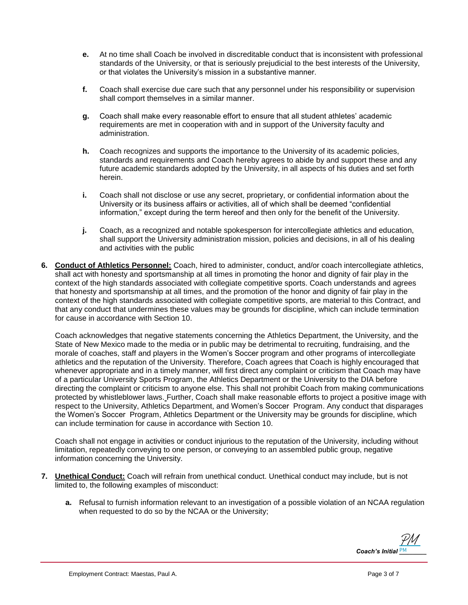- **e.** At no time shall Coach be involved in discreditable conduct that is inconsistent with professional standards of the University, or that is seriously prejudicial to the best interests of the University, or that violates the University's mission in a substantive manner.
- **f.** Coach shall exercise due care such that any personnel under his responsibility or supervision shall comport themselves in a similar manner.
- **g.** Coach shall make every reasonable effort to ensure that all student athletes' academic requirements are met in cooperation with and in support of the University faculty and administration.
- **h.** Coach recognizes and supports the importance to the University of its academic policies, standards and requirements and Coach hereby agrees to abide by and support these and any future academic standards adopted by the University, in all aspects of his duties and set forth herein.
- **i.** Coach shall not disclose or use any secret, proprietary, or confidential information about the University or its business affairs or activities, all of which shall be deemed "confidential information," except during the term hereof and then only for the benefit of the University.
- **j.** Coach, as a recognized and notable spokesperson for intercollegiate athletics and education, shall support the University administration mission, policies and decisions, in all of his dealing and activities with the public
- **6. Conduct of Athletics Personnel:** Coach, hired to administer, conduct, and/or coach intercollegiate athletics, shall act with honesty and sportsmanship at all times in promoting the honor and dignity of fair play in the context of the high standards associated with collegiate competitive sports. Coach understands and agrees that honesty and sportsmanship at all times, and the promotion of the honor and dignity of fair play in the context of the high standards associated with collegiate competitive sports, are material to this Contract, and that any conduct that undermines these values may be grounds for discipline, which can include termination for cause in accordance with Section 10.

Coach acknowledges that negative statements concerning the Athletics Department, the University, and the State of New Mexico made to the media or in public may be detrimental to recruiting, fundraising, and the morale of coaches, staff and players in the Women's Soccer program and other programs of intercollegiate athletics and the reputation of the University. Therefore, Coach agrees that Coach is highly encouraged that whenever appropriate and in a timely manner, will first direct any complaint or criticism that Coach may have of a particular University Sports Program, the Athletics Department or the University to the DIA before directing the complaint or criticism to anyone else. This shall not prohibit Coach from making communications protected by whistleblower laws. Further, Coach shall make reasonable efforts to project a positive image with respect to the University, Athletics Department, and Women's Soccer Program. Any conduct that disparages the Women's Soccer Program, Athletics Department or the University may be grounds for discipline, which can include termination for cause in accordance with Section 10.

Coach shall not engage in activities or conduct injurious to the reputation of the University, including without limitation, repeatedly conveying to one person, or conveying to an assembled public group, negative information concerning the University.

- **7. Unethical Conduct:** Coach will refrain from unethical conduct. Unethical conduct may include, but is not limited to, the following examples of misconduct:
	- **a.** Refusal to furnish information relevant to an investigation of a possible violation of an NCAA regulation when requested to do so by the NCAA or the University;

*Coach's Initial* **PM** [PM](https://secure.na2.echosign.com/verifier?tx=CBJCHBCAABAAw-BiZy57tHnj5LJB6WLAVlDsnbgsjBnK)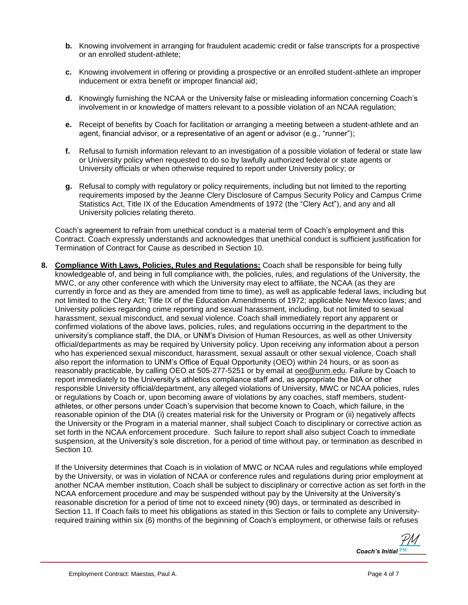- **b.** Knowing involvement in arranging for fraudulent academic credit or false transcripts for a prospective or an enrolled student-athlete;
- **c.** Knowing involvement in offering or providing a prospective or an enrolled student-athlete an improper inducement or extra benefit or improper financial aid;
- **d.** Knowingly furnishing the NCAA or the University false or misleading information concerning Coach's involvement in or knowledge of matters relevant to a possible violation of an NCAA regulation;
- **e.** Receipt of benefits by Coach for facilitation or arranging a meeting between a student-athlete and an agent, financial advisor, or a representative of an agent or advisor (e.g., "runner");
- **f.** Refusal to furnish information relevant to an investigation of a possible violation of federal or state law or University policy when requested to do so by lawfully authorized federal or state agents or University officials or when otherwise required to report under University policy; or
- **g.** Refusal to comply with regulatory or policy requirements, including but not limited to the reporting requirements imposed by the Jeanne Clery Disclosure of Campus Security Policy and Campus Crime Statistics Act, Title IX of the Education Amendments of 1972 (the "Clery Act"), and any and all University policies relating thereto.

Coach's agreement to refrain from unethical conduct is a material term of Coach's employment and this Contract. Coach expressly understands and acknowledges that unethical conduct is sufficient justification for Termination of Contract for Cause as described in Section 10.

**8. Compliance With Laws, Policies, Rules and Regulations:** Coach shall be responsible for being fully knowledgeable of, and being in full compliance with, the policies, rules, and regulations of the University, the MWC, or any other conference with which the University may elect to affiliate, the NCAA (as they are currently in force and as they are amended from time to time), as well as applicable federal laws, including but not limited to the Clery Act; Title IX of the Education Amendments of 1972; applicable New Mexico laws; and University policies regarding crime reporting and sexual harassment, including, but not limited to sexual harassment, sexual misconduct, and sexual violence. Coach shall immediately report any apparent or confirmed violations of the above laws, policies, rules, and regulations occurring in the department to the university's compliance staff, the DIA, or UNM's Division of Human Resources, as well as other University official/departments as may be required by University policy. Upon receiving any information about a person who has experienced sexual misconduct, harassment, sexual assault or other sexual violence, Coach shall also report the information to UNM's Office of Equal Opportunity (OEO) within 24 hours, or as soon as reasonably practicable, by calling OEO at 505-277-5251 or by email at [oeo@unm.edu.](mailto:oeo@unm.edu) Failure by Coach to report immediately to the University's athletics compliance staff and, as appropriate the DIA or other responsible University official/department, any alleged violations of University, MWC or NCAA policies, rules or regulations by Coach or, upon becoming aware of violations by any coaches, staff members, studentathletes, or other persons under Coach's supervision that become known to Coach, which failure, in the reasonable opinion of the DIA (i) creates material risk for the University or Program or (ii) negatively affects the University or the Program in a material manner, shall subject Coach to disciplinary or corrective action as set forth in the NCAA enforcement procedure. Such failure to report shall also subject Coach to immediate suspension, at the University's sole discretion, for a period of time without pay, or termination as described in Section 10.

If the University determines that Coach is in violation of MWC or NCAA rules and regulations while employed by the University, or was in violation of NCAA or conference rules and regulations during prior employment at another NCAA member institution, Coach shall be subject to disciplinary or corrective action as set forth in the NCAA enforcement procedure and may be suspended without pay by the University at the University's reasonable discretion for a period of time not to exceed ninety (90) days, or terminated as described in Section 11. If Coach fails to meet his obligations as stated in this Section or fails to complete any Universityrequired training within six (6) months of the beginning of Coach's employment, or otherwise fails or refuses

*Coach's Initial* **PM** [PM](https://secure.na2.echosign.com/verifier?tx=CBJCHBCAABAAw-BiZy57tHnj5LJB6WLAVlDsnbgsjBnK)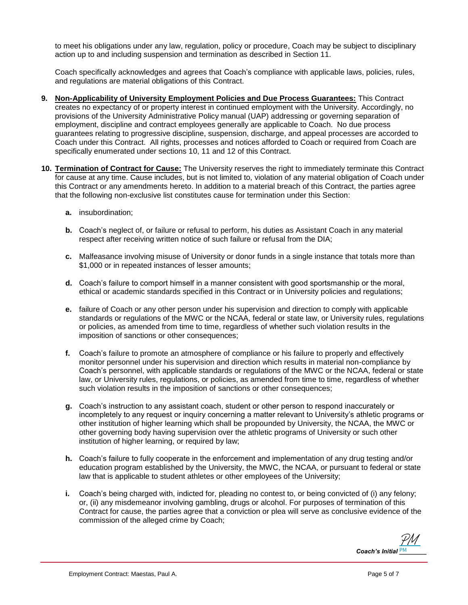to meet his obligations under any law, regulation, policy or procedure, Coach may be subject to disciplinary action up to and including suspension and termination as described in Section 11.

Coach specifically acknowledges and agrees that Coach's compliance with applicable laws, policies, rules, and regulations are material obligations of this Contract.

- **9. Non-Applicability of University Employment Policies and Due Process Guarantees:** This Contract creates no expectancy of or property interest in continued employment with the University. Accordingly, no provisions of the University Administrative Policy manual (UAP) addressing or governing separation of employment, discipline and contract employees generally are applicable to Coach. No due process guarantees relating to progressive discipline, suspension, discharge, and appeal processes are accorded to Coach under this Contract. All rights, processes and notices afforded to Coach or required from Coach are specifically enumerated under sections 10, 11 and 12 of this Contract.
- **10. Termination of Contract for Cause:** The University reserves the right to immediately terminate this Contract for cause at any time. Cause includes, but is not limited to, violation of any material obligation of Coach under this Contract or any amendments hereto. In addition to a material breach of this Contract, the parties agree that the following non-exclusive list constitutes cause for termination under this Section:
	- **a.** insubordination;
	- **b.** Coach's neglect of, or failure or refusal to perform, his duties as Assistant Coach in any material respect after receiving written notice of such failure or refusal from the DIA;
	- **c.** Malfeasance involving misuse of University or donor funds in a single instance that totals more than \$1,000 or in repeated instances of lesser amounts;
	- **d.** Coach's failure to comport himself in a manner consistent with good sportsmanship or the moral, ethical or academic standards specified in this Contract or in University policies and regulations;
	- **e.** failure of Coach or any other person under his supervision and direction to comply with applicable standards or regulations of the MWC or the NCAA, federal or state law, or University rules, regulations or policies, as amended from time to time, regardless of whether such violation results in the imposition of sanctions or other consequences;
	- **f.** Coach's failure to promote an atmosphere of compliance or his failure to properly and effectively monitor personnel under his supervision and direction which results in material non-compliance by Coach's personnel, with applicable standards or regulations of the MWC or the NCAA, federal or state law, or University rules, regulations, or policies, as amended from time to time, regardless of whether such violation results in the imposition of sanctions or other consequences;
	- **g.** Coach's instruction to any assistant coach, student or other person to respond inaccurately or incompletely to any request or inquiry concerning a matter relevant to University's athletic programs or other institution of higher learning which shall be propounded by University, the NCAA, the MWC or other governing body having supervision over the athletic programs of University or such other institution of higher learning, or required by law;
	- **h.** Coach's failure to fully cooperate in the enforcement and implementation of any drug testing and/or education program established by the University, the MWC, the NCAA, or pursuant to federal or state law that is applicable to student athletes or other employees of the University;
	- **i.** Coach's being charged with, indicted for, pleading no contest to, or being convicted of (i) any felony; or, (ii) any misdemeanor involving gambling, drugs or alcohol. For purposes of termination of this Contract for cause, the parties agree that a conviction or plea will serve as conclusive evidence of the commission of the alleged crime by Coach;

*Coach's Initial* **PM** [PM](https://secure.na2.echosign.com/verifier?tx=CBJCHBCAABAAw-BiZy57tHnj5LJB6WLAVlDsnbgsjBnK)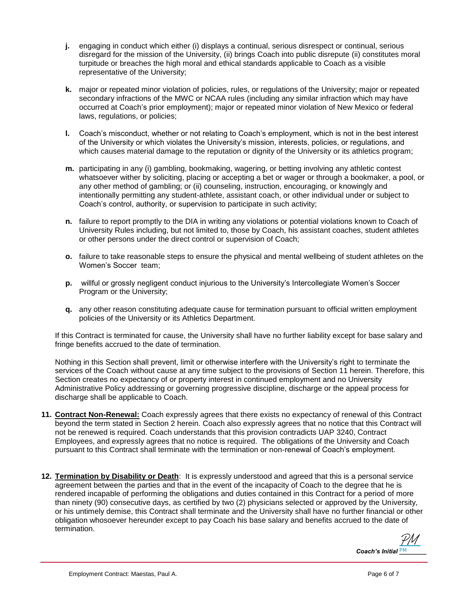- **j.** engaging in conduct which either (i) displays a continual, serious disrespect or continual, serious disregard for the mission of the University, (ii) brings Coach into public disrepute (ii) constitutes moral turpitude or breaches the high moral and ethical standards applicable to Coach as a visible representative of the University;
- **k.** major or repeated minor violation of policies, rules, or regulations of the University; major or repeated secondary infractions of the MWC or NCAA rules (including any similar infraction which may have occurred at Coach's prior employment); major or repeated minor violation of New Mexico or federal laws, regulations, or policies;
- **l.** Coach's misconduct, whether or not relating to Coach's employment, which is not in the best interest of the University or which violates the University's mission, interests, policies, or regulations, and which causes material damage to the reputation or dignity of the University or its athletics program;
- **m.** participating in any (i) gambling, bookmaking, wagering, or betting involving any athletic contest whatsoever wither by soliciting, placing or accepting a bet or wager or through a bookmaker, a pool, or any other method of gambling; or (ii) counseling, instruction, encouraging, or knowingly and intentionally permitting any student-athlete, assistant coach, or other individual under or subject to Coach's control, authority, or supervision to participate in such activity;
- **n.** failure to report promptly to the DIA in writing any violations or potential violations known to Coach of University Rules including, but not limited to, those by Coach, his assistant coaches, student athletes or other persons under the direct control or supervision of Coach;
- **o.** failure to take reasonable steps to ensure the physical and mental wellbeing of student athletes on the Women's Soccer team;
- **p.** willful or grossly negligent conduct injurious to the University's Intercollegiate Women's Soccer Program or the University;
- **q.** any other reason constituting adequate cause for termination pursuant to official written employment policies of the University or its Athletics Department.

If this Contract is terminated for cause, the University shall have no further liability except for base salary and fringe benefits accrued to the date of termination.

Nothing in this Section shall prevent, limit or otherwise interfere with the University's right to terminate the services of the Coach without cause at any time subject to the provisions of Section 11 herein. Therefore, this Section creates no expectancy of or property interest in continued employment and no University Administrative Policy addressing or governing progressive discipline, discharge or the appeal process for discharge shall be applicable to Coach.

- **11. Contract Non-Renewal:** Coach expressly agrees that there exists no expectancy of renewal of this Contract beyond the term stated in Section 2 herein. Coach also expressly agrees that no notice that this Contract will not be renewed is required. Coach understands that this provision contradicts UAP 3240, Contract Employees, and expressly agrees that no notice is required. The obligations of the University and Coach pursuant to this Contract shall terminate with the termination or non-renewal of Coach's employment.
- **12. Termination by Disability or Death**: It is expressly understood and agreed that this is a personal service agreement between the parties and that in the event of the incapacity of Coach to the degree that he is rendered incapable of performing the obligations and duties contained in this Contract for a period of more than ninety (90) consecutive days, as certified by two (2) physicians selected or approved by the University, or his untimely demise, this Contract shall terminate and the University shall have no further financial or other obligation whosoever hereunder except to pay Coach his base salary and benefits accrued to the date of termination.

*Coach's Initial* **PM** [PM](https://secure.na2.echosign.com/verifier?tx=CBJCHBCAABAAw-BiZy57tHnj5LJB6WLAVlDsnbgsjBnK)